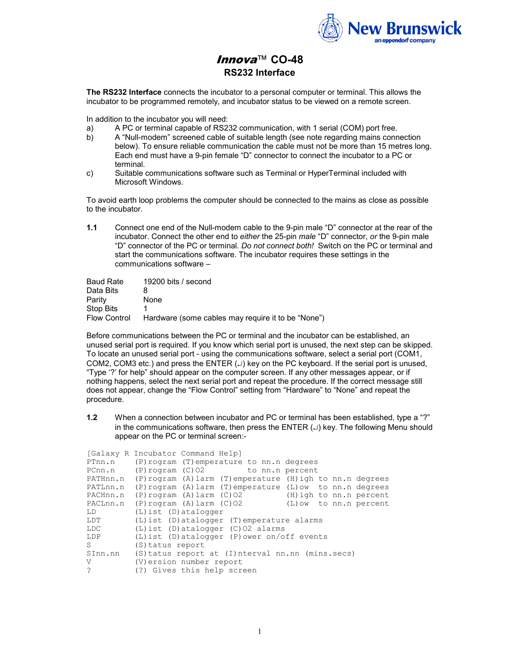

## Innova™ **CO-48 RS232 Interface**

**The RS232 Interface** connects the incubator to a personal computer or terminal. This allows the incubator to be programmed remotely, and incubator status to be viewed on a remote screen.

In addition to the incubator you will need:

- a) A PC or terminal capable of RS232 communication, with 1 serial (COM) port free.
- b) A "Null-modem" screened cable of suitable length (see note regarding mains connection below). To ensure reliable communication the cable must not be more than 15 metres long. Each end must have a 9-pin female "D" connector to connect the incubator to a PC or terminal.
- c) Suitable communications software such as Terminal or HyperTerminal included with Microsoft Windows.

To avoid earth loop problems the computer should be connected to the mains as close as possible to the incubator.

**1.1** Connect one end of the Null-modem cable to the 9-pin male "D" connector at the rear of the incubator. Connect the other end to *either* the 25-pin *male* "D" connector, *or* the 9-pin male "D" connector of the PC or terminal. *Do not connect both!* Switch on the PC or terminal and start the communications software. The incubator requires these settings in the communications software –

| <b>Baud Rate</b>    | 19200 bits / second                                |
|---------------------|----------------------------------------------------|
| Data Bits           | 8                                                  |
| Parity              | None                                               |
| <b>Stop Bits</b>    |                                                    |
| <b>Flow Control</b> | Hardware (some cables may require it to be "None") |

Before communications between the PC or terminal and the incubator can be established, an unused serial port is required. If you know which serial port is unused, the next step can be skipped. To locate an unused serial port - using the communications software, select a serial port (COM1, COM2, COM3 etc.) and press the ENTER  $(\lrcorner)$  key on the PC keyboard. If the serial port is unused, "Type '?' for help" should appear on the computer screen. If any other messages appear, or if nothing happens, select the next serial port and repeat the procedure. If the correct message still does not appear, change the "Flow Control" setting from "Hardware" to "None" and repeat the procedure.

**1.2** When a connection between incubator and PC or terminal has been established, type a "?" in the communications software, then press the  $ENTER (4)$  key. The following Menu should appear on the PC or terminal screen:-

|                      | [Galaxy R Incubator Command Help]                                        |  |  |
|----------------------|--------------------------------------------------------------------------|--|--|
| PTnn.n               | (P) rogram (T) emperature to nn.n degrees                                |  |  |
| PCnn.n               | (P) rogram (C) 02 to nn.n percent                                        |  |  |
|                      | PATHnn.n (P) rogram (A) larm (T) emperature (H) igh to nn.n degrees      |  |  |
|                      | PATLnn.n (P) rogram $(A)$ larm $(T)$ emperature $(L)$ ow to nn.n degrees |  |  |
|                      | PACHnn.n (P) rogram (A) larm (C) 02 (H) igh to nn.n percent              |  |  |
|                      | PACLnn.n (P) rogram (A) larm (C) 02 (L) ow to nn.n percent               |  |  |
| LD                   | $(L)$ ist $(D)$ atalogger                                                |  |  |
| LDT                  | (L) ist (D) atalogger (T) emperature alarms                              |  |  |
| LDC                  | $(L)$ ist (D) atalogger $(C)$ 02 alarms                                  |  |  |
| LDP                  | $(L)$ ist (D) atalogger (P) ower on/off events                           |  |  |
| S                    | (S)tatus report                                                          |  |  |
| SInn.nn              | (S) tatus report at (I) nterval nn.nn (mins.secs)                        |  |  |
| V                    | (V) ersion number report                                                 |  |  |
| $\ddot{\phantom{0}}$ | (?) Gives this help screen                                               |  |  |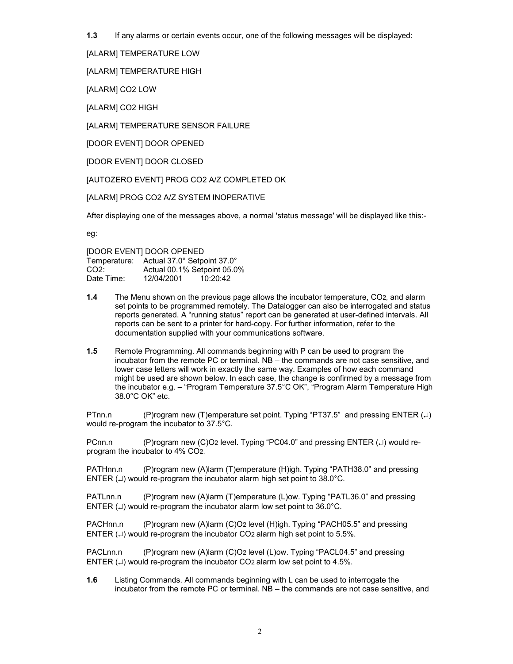**1.3** If any alarms or certain events occur, one of the following messages will be displayed:

[ALARM] TEMPERATURE LOW

[ALARM] TEMPERATURE HIGH

[ALARM] CO2 LOW

[ALARM] CO2 HIGH

[ALARM] TEMPERATURE SENSOR FAILURE

[DOOR EVENT] DOOR OPENED

[DOOR EVENT] DOOR CLOSED

[AUTOZERO EVENT] PROG CO2 A/Z COMPLETED OK

[ALARM] PROG CO2 A/Z SYSTEM INOPERATIVE

After displaying one of the messages above, a normal 'status message' will be displayed like this:-

eg:

[DOOR EVENT] DOOR OPENED Temperature: Actual 37.0° Setpoint 37.0° CO2: Actual 00.1% Setpoint 05.0% Date Time: 12/04/2001 10:20:42

- **1.4** The Menu shown on the previous page allows the incubator temperature, CO2, and alarm set points to be programmed remotely. The Datalogger can also be interrogated and status reports generated. A "running status" report can be generated at user-defined intervals. All reports can be sent to a printer for hard-copy. For further information, refer to the documentation supplied with your communications software.
- **1.5** Remote Programming. All commands beginning with P can be used to program the incubator from the remote PC or terminal. NB – the commands are not case sensitive, and lower case letters will work in exactly the same way. Examples of how each command might be used are shown below. In each case, the change is confirmed by a message from the incubator e.g. – "Program Temperature 37.5°C OK", "Program Alarm Temperature High 38.0°C OK" etc.

PTnn.n (P)rogram new (T)emperature set point. Typing "PT37.5" and pressing ENTER (⊥) would re-program the incubator to 37.5°C.

PCnn.n (P)rogram new (C)O2 level. Typing "PC04.0" and pressing ENTER (↵) would reprogram the incubator to 4% CO2.

PATHnn.n (P)rogram new (A)larm (T)emperature (H)igh. Typing "PATH38.0" and pressing ENTER ( $\Box$ ) would re-program the incubator alarm high set point to 38.0°C.

PATLnn.n (P)rogram new (A)larm (T)emperature (L)ow. Typing "PATL36.0" and pressing ENTER ( $\downarrow$ ) would re-program the incubator alarm low set point to 36.0°C.

PACHnn.n (P)rogram new (A)larm (C)O2 level (H)igh. Typing "PACH05.5" and pressing ENTER ( $\Box$ ) would re-program the incubator CO2 alarm high set point to 5.5%.

PACLnn.n (P)rogram new (A)larm (C)O2 level (L)ow. Typing "PACL04.5" and pressing ENTER ( $\Box$ ) would re-program the incubator CO2 alarm low set point to 4.5%.

**1.6** Listing Commands. All commands beginning with L can be used to interrogate the incubator from the remote PC or terminal. NB – the commands are not case sensitive, and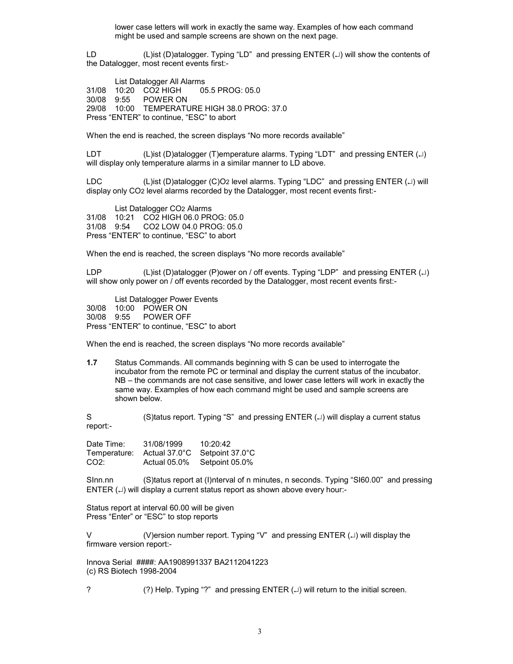lower case letters will work in exactly the same way. Examples of how each command might be used and sample screens are shown on the next page.

LD (L)ist (D)atalogger. Typing "LD" and pressing ENTER (↵) will show the contents of the Datalogger, most recent events first:-

 List Datalogger All Alarms 31/08 10:20 CO2 HIGH 05.5 PROG: 05.0 30/08 9:55 POWER ON 29/08 10:00 TEMPERATURE HIGH 38.0 PROG: 37.0 Press "ENTER" to continue, "ESC" to abort

When the end is reached, the screen displays "No more records available"

LDT (L)ist (D)atalogger (T)emperature alarms. Typing "LDT" and pressing ENTER (↵) will display only temperature alarms in a similar manner to LD above.

LDC (L)ist (D)atalogger (C)O2 level alarms. Typing "LDC" and pressing ENTER (↵) will display only CO2 level alarms recorded by the Datalogger, most recent events first:-

 List Datalogger CO2 Alarms 31/08 10:21 CO2 HIGH 06.0 PROG: 05.0 CO2 LOW 04.0 PROG: 05.0 Press "ENTER" to continue, "ESC" to abort

When the end is reached, the screen displays "No more records available"

LDP (L)ist (D)atalogger (P)ower on / off events. Typing "LDP" and pressing ENTER (↵) will show only power on / off events recorded by the Datalogger, most recent events first:-

 List Datalogger Power Events 30/08 10:00 POWER ON 30/08 9:55 Press "ENTER" to continue, "ESC" to abort

When the end is reached, the screen displays "No more records available"

**1.7** Status Commands. All commands beginning with S can be used to interrogate the incubator from the remote PC or terminal and display the current status of the incubator. NB – the commands are not case sensitive, and lower case letters will work in exactly the same way. Examples of how each command might be used and sample screens are shown below.

S (S)tatus report. Typing "S" and pressing ENTER (↵) will display a current status report:-

Date Time: 31/08/1999 10:20:42 Temperature: Actual 37.0°C Setpoint 37.0°C CO2: Actual 05.0% Setpoint 05.0%

SInn.nn (S)tatus report at (I)nterval of n minutes, n seconds. Typing "SI60.00" and pressing ENTER (↵) will display a current status report as shown above every hour:-

Status report at interval 60.00 will be given Press "Enter" or "ESC" to stop reports

V (V)ersion number report. Typing "V" and pressing ENTER (↵) will display the firmware version report:-

Innova Serial ####: AA1908991337 BA2112041223 (c) RS Biotech 1998-2004

? (?) Help. Typing "?" and pressing ENTER (⊥) will return to the initial screen.